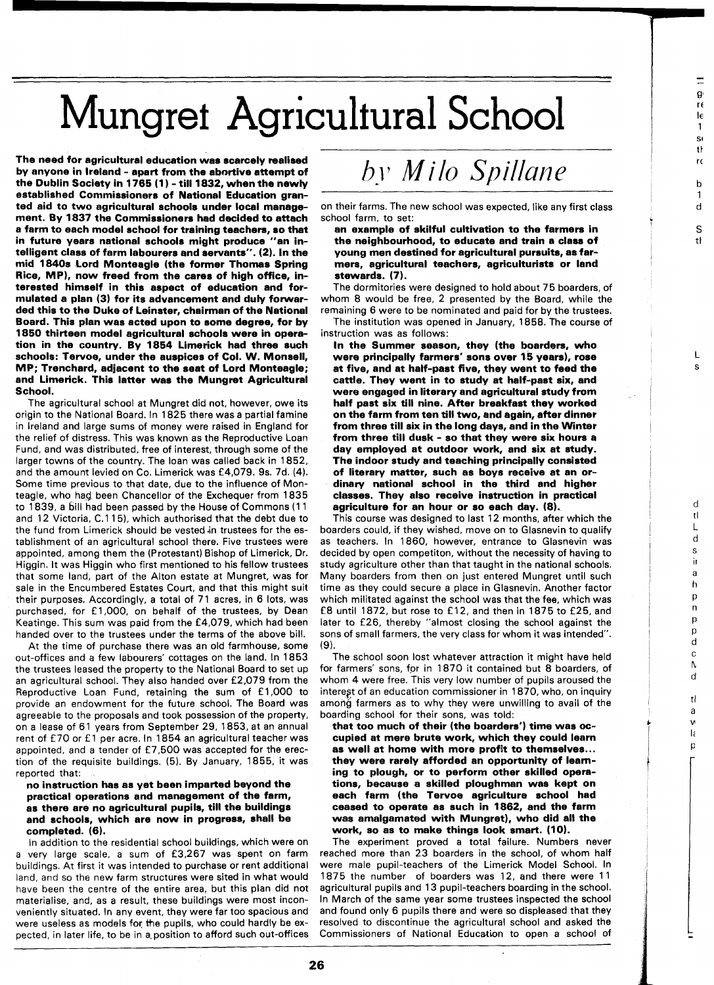## Mungret Agricultural School

The need for agricultural education was scarcely realised by anyone in Ireland - apart from the abortive attempt of the Dublin Society in 1765 (1) - till 1832, when the newly established Commissioners of National Education granted aid to two agricultural schools under local management. By 1837 the Commissioners had decided to attach a farm to each model school for training teachers, so that in future years national schools might produce "an intelligent class of farm labourers and servants". (2). In the mid 1840s Lord Monteagle (the former Thomas Spring Rice, MP), now freed from the cares of high office, interested himself in this aspect of education and formulated a plan (3) for its advancement and duly forwarded this to the Duke of Leinster, chairman of the National Board. This plan was acted upon to some degree, for by 1850 thirteen model agricultural schools were in operation in the country. By 1854 Limerick had three such schools: Tervoe, under the auspices of Col. W. Monsell, MP; Trenchard, adjacent to the seat of Lord Monteagle; and Limerick. This latter was the Mungret Agricultural School.

The agricultural school at Mungret did not, however, owe its origin to the National Board. In **1825** there was a partial famine in Ireland and large sums of money were raised in England for the relief of distress. This was known as the Reproductive Loan Fund, and was distributed, free of interest, through some of the larger towns of the country. The loan was called back in **1852,**  and the amount levied on Co. Limerick was **£4,079.** 9s. 7d. **(4).**  Some time previous to that date, due to the influence of Monteagle, who had, been Chancellor of the Exchequer from **1835**  to **1839,** a bill had been passed by the House of Commons **(1 1**  and **12** Victoria, C.1 **15),** which authorised that the debt due to the fund from Limerick should be vested in trustees for the establishment of an agricultural school there. Five trustees were appointed, among them the (Protestant) Bishop of Limerick, Dr. Higgin. It was Higgin who first mentioned to his fellow trustees that some land, part of the Alton estate at Mungret, was for sale in the Encumbered Estates Court, and that this might suit their purposes. Accordingly, a total of **71** acres, in **6** lots, was purchased, for £1,000, on behalf of the trustees, by Dean Keatinge. This sum was paid from the **£4,079,** which had been handed over to the trustees under the terms of the above bill.

At the time of purchase there was an old farmhouse, some out-offices and a few labourers' cottages on the land. In **1853**  the trustees leased the property to the National Board to set up an agricultural school. They also handed over **£2,079** from the Reproductive Loan Fund, retaining the sum of E **1,000** to provide an endowment for the future school. The Board was agreeable to the proposals and took possession of the property, on a lease of **61** years from September **29, 1853,** at an annual rent of £70 or £1 per acre. In 1854 an agricultural teacher was appointed, and a tender of £7,500 was accepted for the erection of the requisite buildings. **(5).** By January, **1855,** it was reported that:

## no instruction has as yet been imparted beyond the practical operations and management of the farm, as there are no agricultural pupils, till the buildings and schools, which are now in progress, shall be completed. (6).

In addition to the residential school buildings, which were on a very large scale, a sum of **£3,267** was spent on farm buildings. At first it was intended to purchase or rent additional land, and so the new farm structures were sited in what would have been the centre of the entire area, but this plan did not materialise, and, as a result, these buildings were most inconveniently situated. In any event, they were far too spacious and were useless as models for the pupils, who could hardly be expected, in later life, to be in a position to afford such out-offices

## by Milo Spillane

on their farms. The new school was expected, like any first class school farm, to set:

 $\equiv$  $\mathbf{g}$ re le  $\mathbf{1}$ sı tł

r.  $\mathbf b$  $\mathbf{1}$  $\mathsf d$ S  $\ddot{t}$ 

 $\mathsf{L}$ 

d  $t\mathbf{l}$  $\mathbf{I}$  $\mathsf d$ s j) a  $\overline{h}$ p  $\overline{p}$ p  $\mathsf{p}$  $\mathbf d$  $\mathbf{C}$  $\Lambda$  $\mathbf d$ tl a v lέ p

an example of skilful cultivation to the farmers in the neighbourhood, to educate and train a class of young men destined for agricultural pursuits, as farmers, agricultural teachers, agriculturists or land stewards. (7).

The dormitories were designed to hold about **75** boarders, of whom **8** would be free, 2 presented by the Board, while the remaining **6** were to be nominated and paid for by the trustees.

The institution was opened in January, **1858.** The course of instruction was as follows:

In the Summer season, they (the boarders, who were principally farmers' sons over 15 years), rose at five, and at half-past five, they went to feed the cattle. They went in to study at half-past six, and were engaged in literary and agricultural study from half past six till nine. After breakfast they worked on the farm from ten till two, and again, after dinner from three till six in the long days, and in the Winter from three till dusk - so that they were six hours a day employed at outdoor work, and six at study. The indoor study and teaching principally consisted of literary matter, such as boys receive at an ordinary national school in the third and higher classes. They also receive instruction in practical agriculture for an hour or so each day. (8).

This course was designed to last **12** months, after which the boarders could, if they wished, move on to Glasnevin to qualify as teachers. In **1860,** however, entrance to Glasnevin was decided by open competiton, without the necessity of having to study agriculture other than that taught in the national schools. Many boarders from then on just entered Mungret until such time as they could secure a place in Glasnevin. Another factor which militated against the school was that the fee, which was **f 8** until **1872,** but rose to f **12,** and then in **1875** to **£25,** and later to **£26,** thereby "almost closing the school against the sons of small farmers, the very class for whom it was intended". **(9).** 

The school soon lost whatever attraction it might have held for farmers' sons, for in **1870** it contained but **8** boarders, of whom 4 were free. This very low number of pupils aroused the interest of an education commissioner in 1870, who, on inquiry among farmers as to why they were unwilling to avail of the boarding school for their sons, was told:

that too much of their (the boarders') time was occupied at mere brute work, which they could learn they were rarely afforded an opportunity of leaming to plough, or to perform other skilled operations, because a skilled ploughman was kept on each farm (the Tervoe agriculture school had ceased to operate as such in 1862, and the farm was amalgamated with Mungret), who did all the work, so as to make things look smart. (10).

The experiment proved a total failure. Numbers never reached more than **23** boarders in the school, of whom half were male pupil-teachers of the Limerick Model School. In **1875** the number of boarders was **12,** and there were **<sup>11</sup>** agricultural pupils and **13** pupil-teachers boarding in the school. In March of the same year some trustees inspected the school and found only **6** pupils there and were so displeased that they resolved to discontinue the agricultural school and asked the Commissioners of National Education to open a school of

26